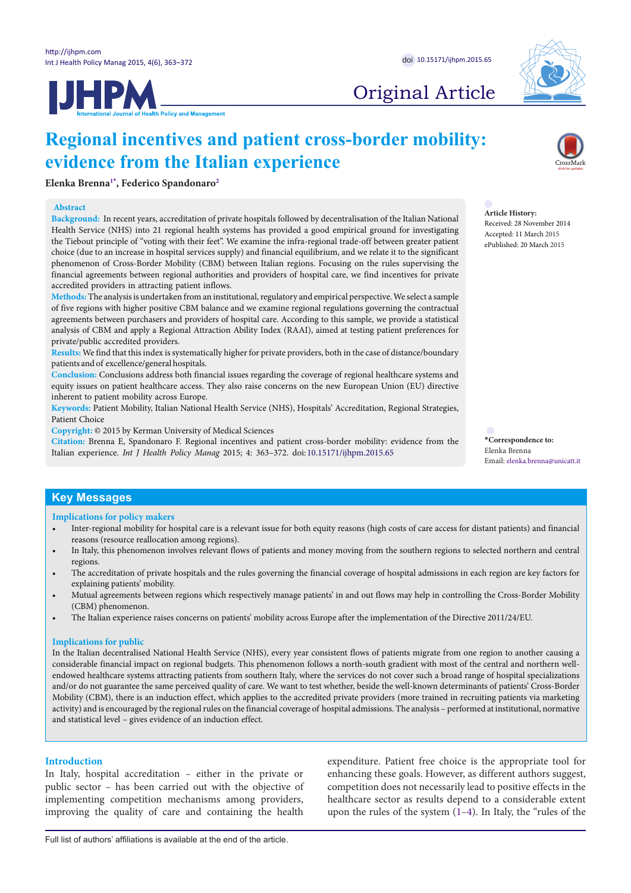**JHPM** 



# Original Article

# **Regional incentives and patient cross-border mobility: evidence from the Italian experience**

**Elenka Brenna[1](#page-8-0)[\\*](#page-0-0) , Federico Spandonaro[2](#page-8-1)**

#### **Abstract**

**Background:** In recent years, accreditation of private hospitals followed by decentralisation of the Italian National Health Service (NHS) into 21 regional health systems has provided a good empirical ground for investigating the Tiebout principle of "voting with their feet". We examine the infra-regional trade-off between greater patient choice (due to an increase in hospital services supply) and financial equilibrium, and we relate it to the significant phenomenon of Cross-Border Mobility (CBM) between Italian regions. Focusing on the rules supervising the financial agreements between regional authorities and providers of hospital care, we find incentives for private accredited providers in attracting patient inflows.

**Methods:** The analysis is undertaken from an institutional, regulatory and empirical perspective. We select a sample of five regions with higher positive CBM balance and we examine regional regulations governing the contractual agreements between purchasers and providers of hospital care. According to this sample, we provide a statistical analysis of CBM and apply a Regional Attraction Ability Index (RAAI), aimed at testing patient preferences for private/public accredited providers.

**Results:** We find that this index is systematically higher for private providers, both in the case of distance/boundary patients and of excellence/general hospitals.

**Conclusion:** Conclusions address both financial issues regarding the coverage of regional healthcare systems and equity issues on patient healthcare access. They also raise concerns on the new European Union (EU) directive inherent to patient mobility across Europe.

**Keywords:** Patient Mobility, Italian National Health Service (NHS), Hospitals' Accreditation, Regional Strategies, Patient Choice

**Copyright:** © 2015 by Kerman University of Medical Sciences

**Citation:** Brenna E, Spandonaro F. Regional incentives and patient cross-border mobility: evidence from the Italian experience. *Int J Health Policy Manag* 2015; 4: 363–372. doi: 10.15171/ijhpm.2015.65

**Article History:** Received: 28 November 2014 Accepted: 11 March 2015 ePublished: 20 March 2015

<span id="page-0-0"></span>**\*Correspondence to:** Elenka Brenna Email: elenka.brenna@unicatt.it

## **Key Messages**

**Implications for policy makers**

- Inter-regional mobility for hospital care is a relevant issue for both equity reasons (high costs of care access for distant patients) and financial reasons (resource reallocation among regions).
- In Italy, this phenomenon involves relevant flows of patients and money moving from the southern regions to selected northern and central regions.
- The accreditation of private hospitals and the rules governing the financial coverage of hospital admissions in each region are key factors for explaining patients' mobility.
- Mutual agreements between regions which respectively manage patients' in and out flows may help in controlling the Cross-Border Mobility (CBM) phenomenon.
- The Italian experience raises concerns on patients' mobility across Europe after the implementation of the Directive 2011/24/EU.

## **Implications for public**

In the Italian decentralised National Health Service (NHS), every year consistent flows of patients migrate from one region to another causing a considerable financial impact on regional budgets. This phenomenon follows a north-south gradient with most of the central and northern wellendowed healthcare systems attracting patients from southern Italy, where the services do not cover such a broad range of hospital specializations and/or do not guarantee the same perceived quality of care. We want to test whether, beside the well-known determinants of patients' Cross-Border Mobility (CBM), there is an induction effect, which applies to the accredited private providers (more trained in recruiting patients via marketing activity) and is encouraged by the regional rules on the financial coverage of hospital admissions. The analysis – performed at institutional, normative and statistical level – gives evidence of an induction effect.

## **Introduction**

In Italy, hospital accreditation – either in the private or public sector – has been carried out with the objective of implementing competition mechanisms among providers, improving the quality of care and containing the health expenditure. Patient free choice is the appropriate tool for enhancing these goals. However, as different authors suggest, competition does not necessarily lead to positive effects in the healthcare sector as results depend to a considerable extent upon the rules of the system ([1](#page-8-2)–[4](#page-8-3)). In Italy, the "rules of the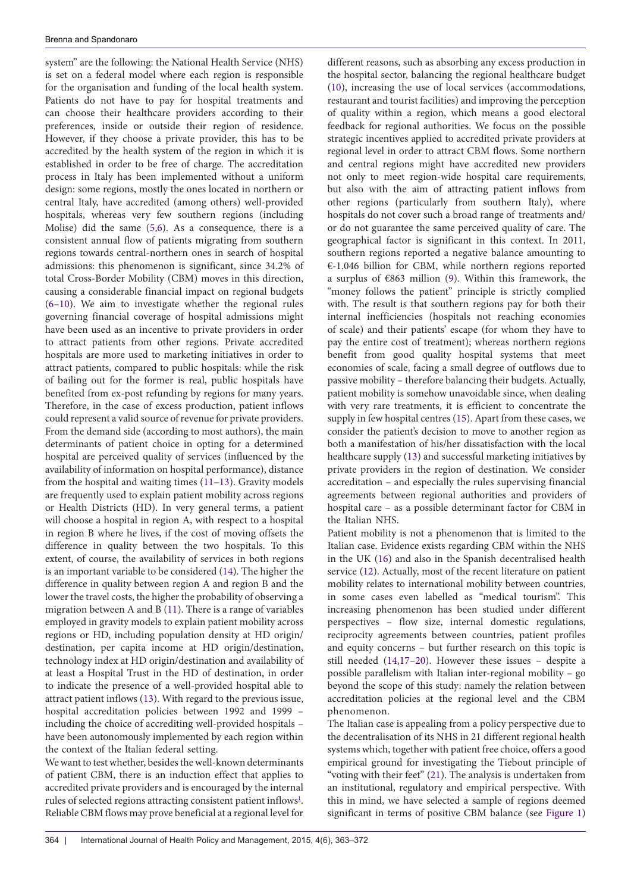system" are the following: the National Health Service (NHS) is set on a federal model where each region is responsible for the organisation and funding of the local health system. Patients do not have to pay for hospital treatments and can choose their healthcare providers according to their preferences, inside or outside their region of residence. However, if they choose a private provider, this has to be accredited by the health system of the region in which it is established in order to be free of charge. The accreditation process in Italy has been implemented without a uniform design: some regions, mostly the ones located in northern or central Italy, have accredited (among others) well-provided hospitals, whereas very few southern regions (including Molise) did the same [\(5](#page-8-4)[,6](#page-8-5)). As a consequence, there is a consistent annual flow of patients migrating from southern regions towards central-northern ones in search of hospital admissions: this phenomenon is significant, since 34.2% of total Cross-Border Mobility (CBM) moves in this direction, causing a considerable financial impact on regional budgets ([6–](#page-8-5)[10\)](#page-8-6). We aim to investigate whether the regional rules governing financial coverage of hospital admissions might have been used as an incentive to private providers in order to attract patients from other regions. Private accredited hospitals are more used to marketing initiatives in order to attract patients, compared to public hospitals: while the risk of bailing out for the former is real, public hospitals have benefited from ex-post refunding by regions for many years. Therefore, in the case of excess production, patient inflows could represent a valid source of revenue for private providers. From the demand side (according to most authors), the main determinants of patient choice in opting for a determined hospital are perceived quality of services (influenced by the availability of information on hospital performance), distance from the hospital and waiting times [\(11–](#page-8-7)[13\)](#page-8-8). Gravity models are frequently used to explain patient mobility across regions or Health Districts (HD). In very general terms, a patient will choose a hospital in region A, with respect to a hospital in region B where he lives, if the cost of moving offsets the difference in quality between the two hospitals. To this extent, of course, the availability of services in both regions is an important variable to be considered [\(14\)](#page-8-9). The higher the difference in quality between region A and region B and the lower the travel costs, the higher the probability of observing a migration between A and B ([11\)](#page-8-7). There is a range of variables employed in gravity models to explain patient mobility across regions or HD, including population density at HD origin/ destination, per capita income at HD origin/destination, technology index at HD origin/destination and availability of at least a Hospital Trust in the HD of destination, in order to indicate the presence of a well-provided hospital able to attract patient inflows [\(13\)](#page-8-8). With regard to the previous issue, hospital accreditation policies between 1992 and 1999 – including the choice of accrediting well-provided hospitals – have been autonomously implemented by each region within the context of the Italian federal setting.

We want to test whether, besides the well-known determinants of patient CBM, there is an induction effect that applies to accredited private providers and is encouraged by the internal rules of selected regions attracting consistent patient inflows<sup>1</sup>. Reliable CBM flows may prove beneficial at a regional level for

different reasons, such as absorbing any excess production in the hospital sector, balancing the regional healthcare budget [\(10](#page-8-6)), increasing the use of local services (accommodations, restaurant and tourist facilities) and improving the perception of quality within a region, which means a good electoral feedback for regional authorities. We focus on the possible strategic incentives applied to accredited private providers at regional level in order to attract CBM flows. Some northern and central regions might have accredited new providers not only to meet region-wide hospital care requirements, but also with the aim of attracting patient inflows from other regions (particularly from southern Italy), where hospitals do not cover such a broad range of treatments and/ or do not guarantee the same perceived quality of care. The geographical factor is significant in this context. In 2011, southern regions reported a negative balance amounting to €-1.046 billion for CBM, while northern regions reported a surplus of €863 million [\(9](#page-8-11)). Within this framework, the "money follows the patient" principle is strictly complied with. The result is that southern regions pay for both their internal inefficiencies (hospitals not reaching economies of scale) and their patients' escape (for whom they have to pay the entire cost of treatment); whereas northern regions benefit from good quality hospital systems that meet economies of scale, facing a small degree of outflows due to passive mobility – therefore balancing their budgets. Actually, patient mobility is somehow unavoidable since, when dealing with very rare treatments, it is efficient to concentrate the supply in few hospital centres ([15](#page-8-12)). Apart from these cases, we consider the patient's decision to move to another region as both a manifestation of his/her dissatisfaction with the local healthcare supply [\(13\)](#page-8-8) and successful marketing initiatives by private providers in the region of destination. We consider accreditation – and especially the rules supervising financial agreements between regional authorities and providers of hospital care – as a possible determinant factor for CBM in the Italian NHS.

Patient mobility is not a phenomenon that is limited to the Italian case. Evidence exists regarding CBM within the NHS in the UK ([16](#page-9-0)) and also in the Spanish decentralised health service ([12](#page-8-13)). Actually, most of the recent literature on patient mobility relates to international mobility between countries, in some cases even labelled as "medical tourism". This increasing phenomenon has been studied under different perspectives – flow size, internal domestic regulations, reciprocity agreements between countries, patient profiles and equity concerns – but further research on this topic is still needed [\(14,](#page-8-9)[17–](#page-9-1)[20\)](#page-9-2). However these issues – despite a possible parallelism with Italian inter-regional mobility – go beyond the scope of this study: namely the relation between accreditation policies at the regional level and the CBM phenomenon.

The Italian case is appealing from a policy perspective due to the decentralisation of its NHS in 21 different regional health systems which, together with patient free choice, offers a good empirical ground for investigating the Tiebout principle of "voting with their feet" [\(21\)](#page-9-3). The analysis is undertaken from an institutional, regulatory and empirical perspective. With this in mind, we have selected a sample of regions deemed significant in terms of positive CBM balance (see [Figure 1](#page-2-0))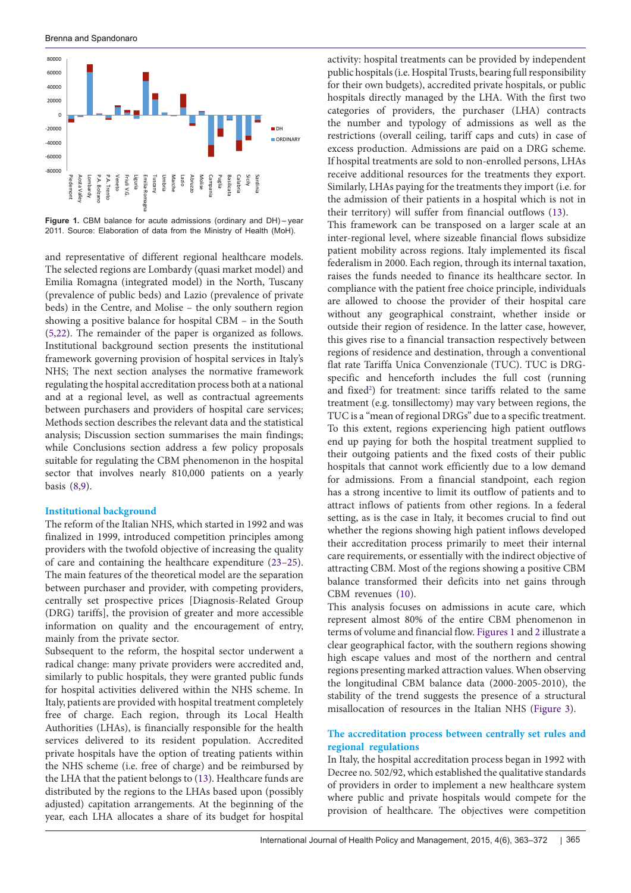<span id="page-2-0"></span>

**Figure 1.** CBM balance for acute admissions (ordinary and DH) – year 2011. Source: Elaboration of data from the Ministry of Health (MoH).

and representative of different regional healthcare models. The selected regions are Lombardy (quasi market model) and Emilia Romagna (integrated model) in the North, Tuscany (prevalence of public beds) and Lazio (prevalence of private beds) in the Centre, and Molise – the only southern region showing a positive balance for hospital CBM – in the South ([5,](#page-8-4)[22\)](#page-9-4). The remainder of the paper is organized as follows. Institutional background section presents the institutional framework governing provision of hospital services in Italy's NHS; The next section analyses the normative framework regulating the hospital accreditation process both at a national and at a regional level, as well as contractual agreements between purchasers and providers of hospital care services; Methods section describes the relevant data and the statistical analysis; Discussion section summarises the main findings; while Conclusions section address a few policy proposals suitable for regulating the CBM phenomenon in the hospital sector that involves nearly 810,000 patients on a yearly basis [\(8](#page-8-14)[,9](#page-8-11)).

## **Institutional background**

The reform of the Italian NHS, which started in 1992 and was finalized in 1999, introduced competition principles among providers with the twofold objective of increasing the quality of care and containing the healthcare expenditure [\(23–](#page-9-5)[25\)](#page-9-6). The main features of the theoretical model are the separation between purchaser and provider, with competing providers, centrally set prospective prices [Diagnosis-Related Group (DRG) tariffs], the provision of greater and more accessible information on quality and the encouragement of entry, mainly from the private sector.

Subsequent to the reform, the hospital sector underwent a radical change: many private providers were accredited and, similarly to public hospitals, they were granted public funds for hospital activities delivered within the NHS scheme. In Italy, patients are provided with hospital treatment completely free of charge. Each region, through its Local Health Authorities (LHAs), is financially responsible for the health services delivered to its resident population. Accredited private hospitals have the option of treating patients within the NHS scheme (i.e. free of charge) and be reimbursed by the LHA that the patient belongs to ([13](#page-8-8)). Healthcare funds are distributed by the regions to the LHAs based upon (possibly adjusted) capitation arrangements. At the beginning of the year, each LHA allocates a share of its budget for hospital

activity: hospital treatments can be provided by independent public hospitals (i.e. Hospital Trusts, bearing full responsibility for their own budgets), accredited private hospitals, or public hospitals directly managed by the LHA. With the first two categories of providers, the purchaser (LHA) contracts the number and typology of admissions as well as the restrictions (overall ceiling, tariff caps and cuts) in case of excess production. Admissions are paid on a DRG scheme. If hospital treatments are sold to non-enrolled persons, LHAs receive additional resources for the treatments they export. Similarly, LHAs paying for the treatments they import (i.e. for the admission of their patients in a hospital which is not in their territory) will suffer from financial outflows [\(13\)](#page-8-8).

This framework can be transposed on a larger scale at an inter-regional level, where sizeable financial flows subsidize patient mobility across regions. Italy implemented its fiscal federalism in 2000. Each region, through its internal taxation, raises the funds needed to finance its healthcare sector. In compliance with the patient free choice principle, individuals are allowed to choose the provider of their hospital care without any geographical constraint, whether inside or outside their region of residence. In the latter case, however, this gives rise to a financial transaction respectively between regions of residence and destination, through a conventional flat rate Tariffa Unica Convenzionale (TUC). TUC is DRGspecific and henceforth includes the full cost (running and fixed<sup>2</sup>) for treatment: since tariffs related to the same treatment (e.g. tonsillectomy) may vary between regions, the TUC is a "mean of regional DRGs" due to a specific treatment. To this extent, regions experiencing high patient outflows end up paying for both the hospital treatment supplied to their outgoing patients and the fixed costs of their public hospitals that cannot work efficiently due to a low demand for admissions. From a financial standpoint, each region has a strong incentive to limit its outflow of patients and to attract inflows of patients from other regions. In a federal setting, as is the case in Italy, it becomes crucial to find out whether the regions showing high patient inflows developed their accreditation process primarily to meet their internal care requirements, or essentially with the indirect objective of attracting CBM. Most of the regions showing a positive CBM balance transformed their deficits into net gains through CBM revenues [\(10\)](#page-8-6).

This analysis focuses on admissions in acute care, which represent almost 80% of the entire CBM phenomenon in terms of volume and financial flow. [Figures 1](#page-2-0) and [2](#page-3-0) illustrate a clear geographical factor, with the southern regions showing high escape values and most of the northern and central regions presenting marked attraction values. When observing the longitudinal CBM balance data (2000-2005-2010), the stability of the trend suggests the presence of a structural misallocation of resources in the Italian NHS ([Figure 3\)](#page-3-1).

## **The accreditation process between centrally set rules and regional regulations**

In Italy, the hospital accreditation process began in 1992 with Decree no. 502/92, which established the qualitative standards of providers in order to implement a new healthcare system where public and private hospitals would compete for the provision of healthcare. The objectives were competition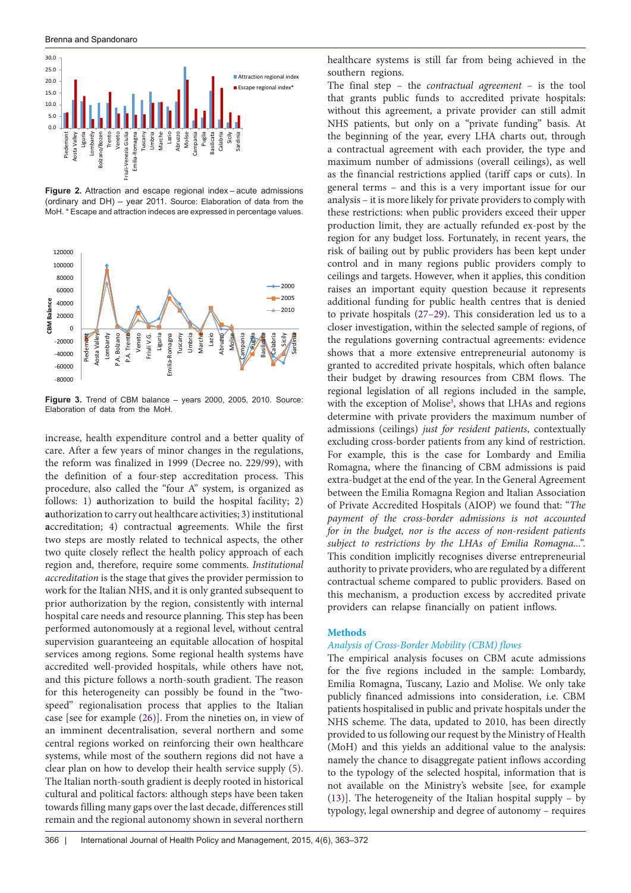<span id="page-3-0"></span>Brenna and Spandonaro



**Figure 2.** Attraction and escape regional index – acute admissions (ordinary and DH) – year 2011. Source: Elaboration of data from the MoH. \* Escape and attraction indeces are expressed in percentage values.

<span id="page-3-1"></span>

**Figure 3.** Trend of CBM balance – years 2000, 2005, 2010. Source: Elaboration of data from the MoH.

increase, health expenditure control and a better quality of care. After a few years of minor changes in the regulations, the reform was finalized in 1999 (Decree no. 229/99), with the definition of a four-step accreditation process. This procedure, also called the "four A" system, is organized as follows: 1) **a**uthorization to build the hospital facility; 2) **a**uthorization to carry out healthcare activities; 3) institutional **a**ccreditation; 4) contractual **a**greements. While the first two steps are mostly related to technical aspects, the other two quite closely reflect the health policy approach of each region and, therefore, require some comments. *Institutional accreditation* is the stage that gives the provider permission to work for the Italian NHS, and it is only granted subsequent to prior authorization by the region, consistently with internal hospital care needs and resource planning. This step has been performed autonomously at a regional level, without central supervision guaranteeing an equitable allocation of hospital services among regions. Some regional health systems have accredited well-provided hospitals, while others have not, and this picture follows a north-south gradient. The reason for this heterogeneity can possibly be found in the "twospeed" regionalisation process that applies to the Italian case [see for example [\(26\)](#page-9-7)]. From the nineties on, in view of an imminent decentralisation, several northern and some central regions worked on reinforcing their own healthcare systems, while most of the southern regions did not have a clear plan on how to develop their health service supply ([5\)](#page-8-4). The Italian north-south gradient is deeply rooted in historical cultural and political factors: although steps have been taken towards filling many gaps over the last decade, differences still remain and the regional autonomy shown in several northern

healthcare systems is still far from being achieved in the southern regions.

The final step – the *contractual agreement* – is the tool that grants public funds to accredited private hospitals: without this agreement, a private provider can still admit NHS patients, but only on a "private funding" basis. At the beginning of the year, every LHA charts out, through a contractual agreement with each provider, the type and maximum number of admissions (overall ceilings), as well as the financial restrictions applied (tariff caps or cuts). In general terms – and this is a very important issue for our analysis – it is more likely for private providers to comply with these restrictions: when public providers exceed their upper production limit, they are actually refunded ex-post by the region for any budget loss. Fortunately, in recent years, the risk of bailing out by public providers has been kept under control and in many regions public providers comply to ceilings and targets. However, when it applies, this condition raises an important equity question because it represents additional funding for public health centres that is denied to private hospitals ([27](#page-9-8)[–29\)](#page-9-9). This consideration led us to a closer investigation, within the selected sample of regions, of the regulations governing contractual agreements: evidence shows that a more extensive entrepreneurial autonomy is granted to accredited private hospitals, which often balance their budget by drawing resources from CBM flows. The regional legislation of all regions included in the sample, with the exception of Molise<sup>3</sup>, shows that LHAs and regions determine with private providers the maximum number of admissions (ceilings) *just for resident patients*, contextually excluding cross-border patients from any kind of restriction. For example, this is the case for Lombardy and Emilia Romagna, where the financing of CBM admissions is paid extra-budget at the end of the year. In the General Agreement between the Emilia Romagna Region and Italian Association of Private Accredited Hospitals (AIOP) we found that: "*The payment of the cross-border admissions is not accounted for in the budget, nor is the access of non-resident patients subject to restrictions by the LHAs of Emilia Romagna...".*  This condition implicitly recognises diverse entrepreneurial authority to private providers, who are regulated by a different contractual scheme compared to public providers. Based on this mechanism, a production excess by accredited private providers can relapse financially on patient inflows.

## **Methods**

## *Analysis of Cross-Border Mobility (CBM) flows*

The empirical analysis focuses on CBM acute admissions for the five regions included in the sample: Lombardy, Emilia Romagna, Tuscany, Lazio and Molise. We only take publicly financed admissions into consideration, i.e. CBM patients hospitalised in public and private hospitals under the NHS scheme. The data, updated to 2010, has been directly provided to us following our request by the Ministry of Health (MoH) and this yields an additional value to the analysis: namely the chance to disaggregate patient inflows according to the typology of the selected hospital, information that is not available on the Ministry's website [see, for example [\(13](#page-8-8))]. The heterogeneity of the Italian hospital supply – by typology, legal ownership and degree of autonomy – requires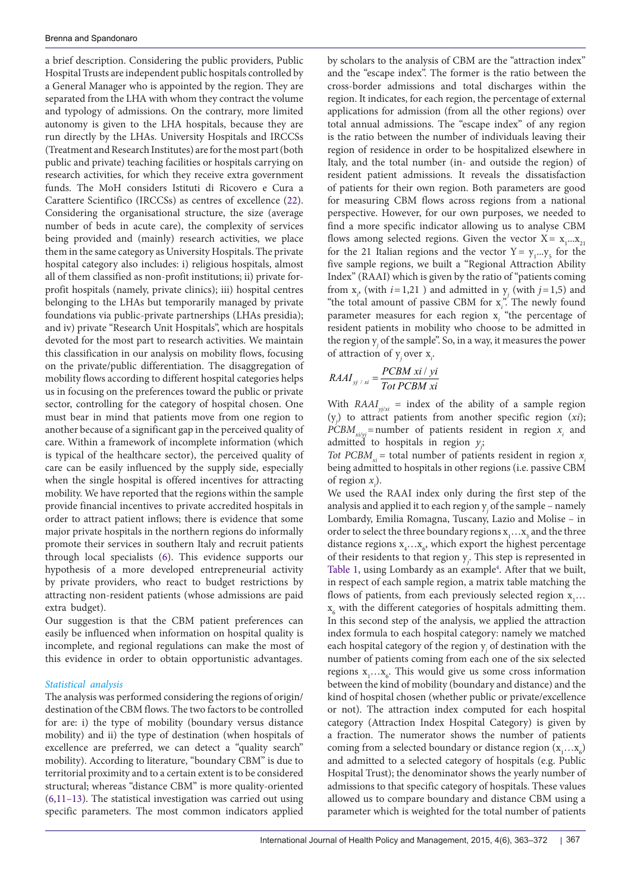a brief description. Considering the public providers, Public Hospital Trusts are independent public hospitals controlled by a General Manager who is appointed by the region. They are separated from the LHA with whom they contract the volume and typology of admissions. On the contrary, more limited autonomy is given to the LHA hospitals, because they are run directly by the LHAs. University Hospitals and IRCCSs (Treatment and Research Institutes) are for the most part (both public and private) teaching facilities or hospitals carrying on research activities, for which they receive extra government funds. The MoH considers Istituti di Ricovero e Cura a Carattere Scientifico (IRCCSs) as centres of excellence ([22\)](#page-9-4). Considering the organisational structure, the size (average number of beds in acute care), the complexity of services being provided and (mainly) research activities, we place them in the same category as University Hospitals. The private hospital category also includes: i) religious hospitals, almost all of them classified as non-profit institutions; ii) private forprofit hospitals (namely, private clinics); iii) hospital centres belonging to the LHAs but temporarily managed by private foundations via public-private partnerships (LHAs presidia); and iv) private "Research Unit Hospitals", which are hospitals devoted for the most part to research activities. We maintain this classification in our analysis on mobility flows, focusing on the private/public differentiation. The disaggregation of mobility flows according to different hospital categories helps us in focusing on the preferences toward the public or private sector, controlling for the category of hospital chosen. One must bear in mind that patients move from one region to another because of a significant gap in the perceived quality of care. Within a framework of incomplete information (which is typical of the healthcare sector), the perceived quality of care can be easily influenced by the supply side, especially when the single hospital is offered incentives for attracting mobility. We have reported that the regions within the sample provide financial incentives to private accredited hospitals in order to attract patient inflows; there is evidence that some major private hospitals in the northern regions do informally promote their services in southern Italy and recruit patients through local specialists [\(6\)](#page-8-5). This evidence supports our hypothesis of a more developed entrepreneurial activity by private providers, who react to budget restrictions by attracting non-resident patients (whose admissions are paid extra budget).

Our suggestion is that the CBM patient preferences can easily be influenced when information on hospital quality is incomplete, and regional regulations can make the most of this evidence in order to obtain opportunistic advantages.

## *Statistical analysis*

The analysis was performed considering the regions of origin/ destination of the CBM flows. The two factors to be controlled for are: i) the type of mobility (boundary versus distance mobility) and ii) the type of destination (when hospitals of excellence are preferred, we can detect a "quality search" mobility). According to literature, "boundary CBM" is due to territorial proximity and to a certain extent is to be considered structural; whereas "distance CBM" is more quality-oriented ([6,](#page-8-5)[11–](#page-8-7)[13](#page-8-8)). The statistical investigation was carried out using specific parameters. The most common indicators applied by scholars to the analysis of CBM are the "attraction index" and the "escape index". The former is the ratio between the cross-border admissions and total discharges within the region. It indicates, for each region, the percentage of external applications for admission (from all the other regions) over total annual admissions. The "escape index" of any region is the ratio between the number of individuals leaving their region of residence in order to be hospitalized elsewhere in Italy, and the total number (in- and outside the region) of resident patient admissions. It reveals the dissatisfaction of patients for their own region. Both parameters are good for measuring CBM flows across regions from a national perspective. However, for our own purposes, we needed to find a more specific indicator allowing us to analyse CBM flows among selected regions. Given the vector  $X = x_1...x_{21}$ for the 21 Italian regions and the vector  $Y = y_1...y_5$  for the five sample regions, we built a "Regional Attraction Ability Index" (RAAI) which is given by the ratio of "patients coming from  $x_i$ , (with  $i=1,21$ ) and admitted in  $y_j$  (with  $j=1,5$ ) and "the total amount of passive CBM for  $x_i$ ." The newly found parameter measures for each region x<sub>i</sub> "the percentage of resident patients in mobility who choose to be admitted in the region  $y_j$  of the sample". So, in a way, it measures the power of attraction of y*<sup>j</sup>* over x*<sup>i</sup>* .

$$
RAAI_{yj/xi} = \frac{PCBM\ xi\ i\ yi}{Tot\ PCBM\ xi}
$$

With  $RAAI_{y_j/xi}$  = index of the ability of a sample region (y*j* ) to attract patients from another specific region (*xi*);  $PCBM$ <sub>*xi/yj*</sub>=number of patients resident in region  $x_i$  and admitted to hospitals in region *yj* ;

*Tot PCBM<sub>xi</sub>* = total number of patients resident in region  $x_i$ being admitted to hospitals in other regions (i.e. passive CBM of region  $x_i$ ).

We used the RAAI index only during the first step of the analysis and applied it to each region  $y_j$  of the sample – namely Lombardy, Emilia Romagna, Tuscany, Lazio and Molise – in order to select the three boundary regions  $\mathbf{x}_{1}... \mathbf{x}_{3}$  and the three distance regions  $x_4...x_6$ , which export the highest percentage of their residents to that region y*<sup>j</sup>* . This step is represented in [Table 1,](#page-5-0) using Lombardy as an example<sup>4</sup>. After that we built, in respect of each sample region, a matrix table matching the flows of patients, from each previously selected region  $x_1...$  $\mathbf{x}_{_{6}}$  with the different categories of hospitals admitting them. In this second step of the analysis, we applied the attraction index formula to each hospital category: namely we matched each hospital category of the region  $y_j$  of destination with the number of patients coming from each one of the six selected regions  $x_1...x_6$ . This would give us some cross information between the kind of mobility (boundary and distance) and the kind of hospital chosen (whether public or private/excellence or not). The attraction index computed for each hospital category (Attraction Index Hospital Category) is given by a fraction. The numerator shows the number of patients coming from a selected boundary or distance region  $(x_1...x_6)$ and admitted to a selected category of hospitals (e.g. Public Hospital Trust); the denominator shows the yearly number of admissions to that specific category of hospitals. These values allowed us to compare boundary and distance CBM using a parameter which is weighted for the total number of patients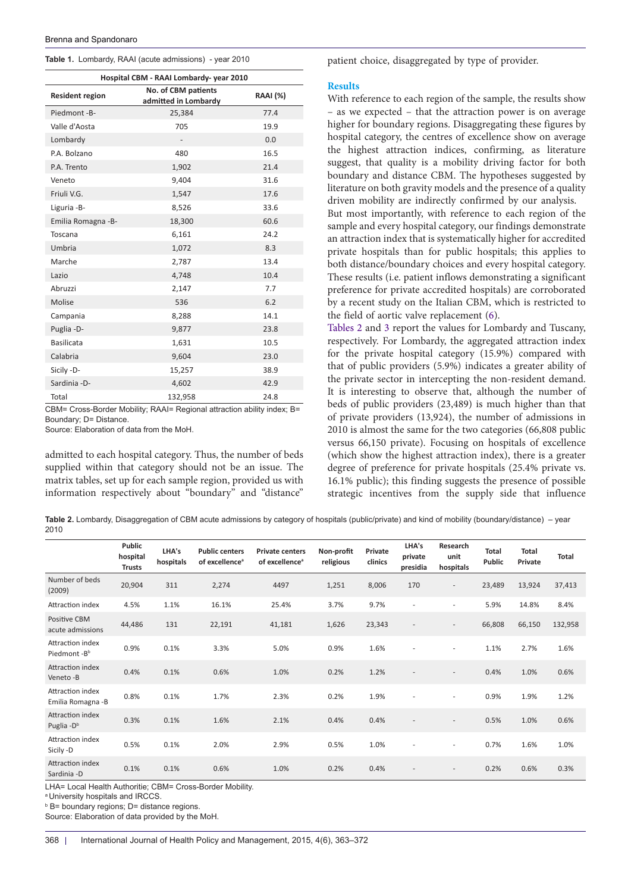<span id="page-5-0"></span>

|  |  |  |  | Table 1. Lombardy, RAAI (acute admissions) - year 2010 |  |  |
|--|--|--|--|--------------------------------------------------------|--|--|
|--|--|--|--|--------------------------------------------------------|--|--|

| Hospital CBM - RAAI Lombardy- year 2010 |                                             |                 |  |  |  |  |  |  |  |
|-----------------------------------------|---------------------------------------------|-----------------|--|--|--|--|--|--|--|
| <b>Resident region</b>                  | No. of CBM patients<br>admitted in Lombardy | <b>RAAI</b> (%) |  |  |  |  |  |  |  |
| Piedmont-B-                             | 25,384                                      | 77.4            |  |  |  |  |  |  |  |
| Valle d'Aosta                           | 705                                         | 19.9            |  |  |  |  |  |  |  |
| Lombardy                                |                                             | 0.0             |  |  |  |  |  |  |  |
| P.A. Bolzano                            | 480                                         | 16.5            |  |  |  |  |  |  |  |
| P.A. Trento                             | 1,902                                       | 21.4            |  |  |  |  |  |  |  |
| Veneto                                  | 9,404                                       | 31.6            |  |  |  |  |  |  |  |
| Friuli V.G.                             | 1,547                                       | 17.6            |  |  |  |  |  |  |  |
| Liguria -B-                             | 8,526                                       | 33.6            |  |  |  |  |  |  |  |
| Emilia Romagna - B-                     | 18,300                                      | 60.6            |  |  |  |  |  |  |  |
| Toscana                                 | 6,161                                       | 24.2            |  |  |  |  |  |  |  |
| Umbria                                  | 1,072                                       | 8.3             |  |  |  |  |  |  |  |
| Marche                                  | 2,787                                       | 13.4            |  |  |  |  |  |  |  |
| Lazio                                   | 4,748                                       | 10.4            |  |  |  |  |  |  |  |
| Abruzzi                                 | 2,147                                       | 7.7             |  |  |  |  |  |  |  |
| Molise                                  | 536                                         | 6.2             |  |  |  |  |  |  |  |
| Campania                                | 8,288                                       | 14.1            |  |  |  |  |  |  |  |
| Puglia - D-                             | 9,877                                       | 23.8            |  |  |  |  |  |  |  |
| <b>Basilicata</b>                       | 1,631                                       | 10.5            |  |  |  |  |  |  |  |
| Calabria                                | 9,604                                       | 23.0            |  |  |  |  |  |  |  |
| Sicily -D-                              | 15,257                                      | 38.9            |  |  |  |  |  |  |  |
| Sardinia - D-                           | 4,602                                       | 42.9            |  |  |  |  |  |  |  |
| Total                                   | 132,958                                     | 24.8            |  |  |  |  |  |  |  |

CBM= Cross-Border Mobility; RAAI= Regional attraction ability index; B= Boundary; D= Distance.

Source: Elaboration of data from the MoH.

admitted to each hospital category. Thus, the number of beds supplied within that category should not be an issue. The matrix tables, set up for each sample region, provided us with information respectively about "boundary" and "distance"

patient choice, disaggregated by type of provider.

#### **Results**

With reference to each region of the sample, the results show – as we expected – that the attraction power is on average higher for boundary regions. Disaggregating these figures by hospital category, the centres of excellence show on average the highest attraction indices, confirming, as literature suggest, that quality is a mobility driving factor for both boundary and distance CBM. The hypotheses suggested by literature on both gravity models and the presence of a quality driven mobility are indirectly confirmed by our analysis. But most importantly, with reference to each region of the sample and every hospital category, our findings demonstrate an attraction index that is systematically higher for accredited private hospitals than for public hospitals; this applies to both distance/boundary choices and every hospital category. These results (i.e. patient inflows demonstrating a significant preference for private accredited hospitals) are corroborated by a recent study on the Italian CBM, which is restricted to the field of aortic valve replacement [\(6](#page-8-5)).

[Tables 2](#page-5-1) and [3](#page-6-0) report the values for Lombardy and Tuscany, respectively. For Lombardy, the aggregated attraction index for the private hospital category (15.9%) compared with that of public providers (5.9%) indicates a greater ability of the private sector in intercepting the non-resident demand. It is interesting to observe that, although the number of beds of public providers (23,489) is much higher than that of private providers (13,924), the number of admissions in 2010 is almost the same for the two categories (66,808 public versus 66,150 private). Focusing on hospitals of excellence (which show the highest attraction index), there is a greater degree of preference for private hospitals (25.4% private vs. 16.1% public); this finding suggests the presence of possible strategic incentives from the supply side that influence

<span id="page-5-1"></span>Table 2. Lombardy, Disaggregation of CBM acute admissions by category of hospitals (public/private) and kind of mobility (boundary/distance) – year 2010

|                                             | <b>Public</b><br>hospital<br><b>Trusts</b> | LHA's<br>hospitals | <b>Public centers</b><br>of excellence <sup>a</sup> | <b>Private centers</b><br>of excellence <sup>a</sup> | Non-profit<br>religious | Private<br>clinics | LHA's<br>private<br>presidia | Research<br>unit<br>hospitals | <b>Total</b><br><b>Public</b> | Total<br>Private | <b>Total</b> |
|---------------------------------------------|--------------------------------------------|--------------------|-----------------------------------------------------|------------------------------------------------------|-------------------------|--------------------|------------------------------|-------------------------------|-------------------------------|------------------|--------------|
| Number of beds<br>(2009)                    | 20,904                                     | 311                | 2,274                                               | 4497                                                 | 1,251                   | 8,006              | 170                          | $\overline{\phantom{a}}$      | 23,489                        | 13,924           | 37,413       |
| Attraction index                            | 4.5%                                       | 1.1%               | 16.1%                                               | 25.4%                                                | 3.7%                    | 9.7%               | ٠                            | $\blacksquare$                | 5.9%                          | 14.8%            | 8.4%         |
| <b>Positive CBM</b><br>acute admissions     | 44,486                                     | 131                | 22,191                                              | 41,181                                               | 1,626                   | 23,343             |                              | $\overline{\phantom{a}}$      | 66,808                        | 66,150           | 132,958      |
| Attraction index<br>Piedmont-B <sup>b</sup> | 0.9%                                       | 0.1%               | 3.3%                                                | 5.0%                                                 | 0.9%                    | 1.6%               |                              | $\blacksquare$                | 1.1%                          | 2.7%             | 1.6%         |
| Attraction index<br>Veneto-B                | 0.4%                                       | 0.1%               | 0.6%                                                | 1.0%                                                 | 0.2%                    | 1.2%               |                              | $\overline{\phantom{a}}$      | 0.4%                          | 1.0%             | 0.6%         |
| Attraction index<br>Emilia Romagna - B      | 0.8%                                       | 0.1%               | 1.7%                                                | 2.3%                                                 | 0.2%                    | 1.9%               |                              |                               | 0.9%                          | 1.9%             | 1.2%         |
| Attraction index<br>Puglia - D <sup>b</sup> | 0.3%                                       | 0.1%               | 1.6%                                                | 2.1%                                                 | 0.4%                    | 0.4%               |                              | $\overline{\phantom{a}}$      | 0.5%                          | 1.0%             | 0.6%         |
| Attraction index<br>Sicily -D               | 0.5%                                       | 0.1%               | 2.0%                                                | 2.9%                                                 | 0.5%                    | 1.0%               |                              | $\blacksquare$                | 0.7%                          | 1.6%             | 1.0%         |
| Attraction index<br>Sardinia -D             | 0.1%                                       | 0.1%               | 0.6%                                                | 1.0%                                                 | 0.2%                    | 0.4%               |                              | $\overline{\phantom{a}}$      | 0.2%                          | 0.6%             | 0.3%         |

LHA= Local Health Authoritie; CBM= Cross-Border Mobility.

<sup>a</sup> University hospitals and IRCCS.

**B** B boundary regions; D = distance regions.

Source: Elaboration of data provided by the MoH.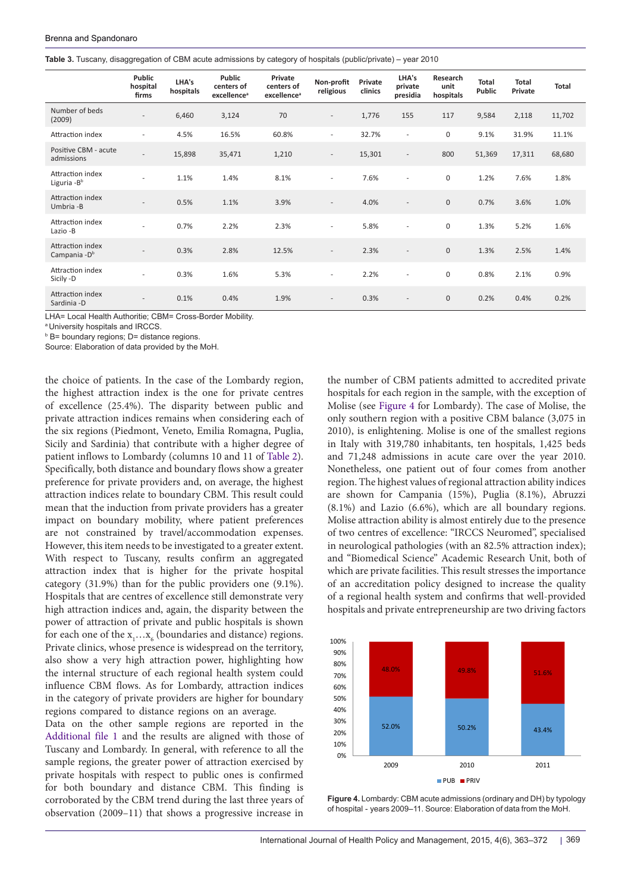<span id="page-6-0"></span>

|  |  |  |  | Table 3. Tuscany, disaggregation of CBM acute admissions by category of hospitals (public/private) – year 2010 |  |  |  |  |  |  |  |
|--|--|--|--|----------------------------------------------------------------------------------------------------------------|--|--|--|--|--|--|--|
|--|--|--|--|----------------------------------------------------------------------------------------------------------------|--|--|--|--|--|--|--|

|                                               | Public<br>hospital<br>firms | LHA's<br>hospitals | <b>Public</b><br>centers of<br>excellence <sup>a</sup> | Private<br>centers of<br>excellence <sup>a</sup> | Non-profit<br>religious  | Private<br>clinics | LHA's<br>private<br>presidia | Research<br>unit<br>hospitals | <b>Total</b><br>Public | <b>Total</b><br>Private | <b>Total</b> |
|-----------------------------------------------|-----------------------------|--------------------|--------------------------------------------------------|--------------------------------------------------|--------------------------|--------------------|------------------------------|-------------------------------|------------------------|-------------------------|--------------|
| Number of beds<br>(2009)                      | $\overline{a}$              | 6,460              | 3,124                                                  | 70                                               | $\overline{\phantom{a}}$ | 1,776              | 155                          | 117                           | 9,584                  | 2,118                   | 11,702       |
| Attraction index                              | $\sim$                      | 4.5%               | 16.5%                                                  | 60.8%                                            | ٠                        | 32.7%              | ٠                            | $\mathbf 0$                   | 9.1%                   | 31.9%                   | 11.1%        |
| Positive CBM - acute<br>admissions            | $\overline{a}$              | 15,898             | 35,471                                                 | 1,210                                            | $\overline{\phantom{a}}$ | 15,301             | $\overline{\phantom{a}}$     | 800                           | 51,369                 | 17,311                  | 68,680       |
| Attraction index<br>Liguria - Bb              | $\sim$                      | 1.1%               | 1.4%                                                   | 8.1%                                             | $\overline{\phantom{a}}$ | 7.6%               | ٠                            | $\mathbf 0$                   | 1.2%                   | 7.6%                    | 1.8%         |
| Attraction index<br>Umbria -B                 |                             | 0.5%               | 1.1%                                                   | 3.9%                                             | $\overline{a}$           | 4.0%               |                              | $\mathbf 0$                   | 0.7%                   | 3.6%                    | 1.0%         |
| Attraction index<br>Lazio -B                  |                             | 0.7%               | 2.2%                                                   | 2.3%                                             | $\overline{\phantom{a}}$ | 5.8%               | ٠                            | $\mathbf 0$                   | 1.3%                   | 5.2%                    | 1.6%         |
| Attraction index<br>Campania - D <sup>b</sup> |                             | 0.3%               | 2.8%                                                   | 12.5%                                            | $\overline{\phantom{a}}$ | 2.3%               |                              | $\mathbf{0}$                  | 1.3%                   | 2.5%                    | 1.4%         |
| Attraction index<br>Sicily -D                 |                             | 0.3%               | 1.6%                                                   | 5.3%                                             | $\overline{\phantom{a}}$ | 2.2%               | ٠                            | $\mathbf 0$                   | 0.8%                   | 2.1%                    | 0.9%         |
| Attraction index<br>Sardinia - D              | $\overline{\phantom{a}}$    | 0.1%               | 0.4%                                                   | 1.9%                                             | $\overline{\phantom{a}}$ | 0.3%               | $\overline{\phantom{a}}$     | $\mathbf{0}$                  | 0.2%                   | 0.4%                    | 0.2%         |

LHA= Local Health Authoritie; CBM= Cross-Border Mobility.

<sup>a</sup>University hospitals and IRCCS.

**B** B = boundary regions; D = distance regions.

Source: Elaboration of data provided by the MoH.

the choice of patients. In the case of the Lombardy region, the highest attraction index is the one for private centres of excellence (25.4%). The disparity between public and private attraction indices remains when considering each of the six regions (Piedmont, Veneto, Emilia Romagna, Puglia, Sicily and Sardinia) that contribute with a higher degree of patient inflows to Lombardy (columns 10 and 11 of [Table 2\)](#page-5-1). Specifically, both distance and boundary flows show a greater preference for private providers and, on average, the highest attraction indices relate to boundary CBM. This result could mean that the induction from private providers has a greater impact on boundary mobility, where patient preferences are not constrained by travel/accommodation expenses. However, this item needs to be investigated to a greater extent. With respect to Tuscany, results confirm an aggregated attraction index that is higher for the private hospital category (31.9%) than for the public providers one (9.1%). Hospitals that are centres of excellence still demonstrate very high attraction indices and, again, the disparity between the power of attraction of private and public hospitals is shown for each one of the  $x_1...x_6$  (boundaries and distance) regions. Private clinics, whose presence is widespread on the territory, also show a very high attraction power, highlighting how the internal structure of each regional health system could influence CBM flows. As for Lombardy, attraction indices in the category of private providers are higher for boundary regions compared to distance regions on an average.

Data on the other sample regions are reported in the [Additional file 1](#page-8-18) and the results are aligned with those of Tuscany and Lombardy. In general, with reference to all the sample regions, the greater power of attraction exercised by private hospitals with respect to public ones is confirmed for both boundary and distance CBM. This finding is corroborated by the CBM trend during the last three years of observation (2009–11) that shows a progressive increase in

the number of CBM patients admitted to accredited private hospitals for each region in the sample, with the exception of Molise (see [Figure 4](#page-6-1) for Lombardy). The case of Molise, the only southern region with a positive CBM balance (3,075 in 2010), is enlightening. Molise is one of the smallest regions in Italy with 319,780 inhabitants, ten hospitals, 1,425 beds and 71,248 admissions in acute care over the year 2010. Nonetheless, one patient out of four comes from another region. The highest values of regional attraction ability indices are shown for Campania (15%), Puglia (8.1%), Abruzzi (8.1%) and Lazio (6.6%), which are all boundary regions. Molise attraction ability is almost entirely due to the presence of two centres of excellence: "IRCCS Neuromed", specialised in neurological pathologies (with an 82.5% attraction index); and "Biomedical Science" Academic Research Unit, both of which are private facilities. This result stresses the importance of an accreditation policy designed to increase the quality of a regional health system and confirms that well-provided hospitals and private entrepreneurship are two driving factors

<span id="page-6-1"></span>

**Figure 4.** Lombardy: CBM acute admissions (ordinary and DH) by typology of hospital ‑ years 2009–11. Source: Elaboration of data from the MoH.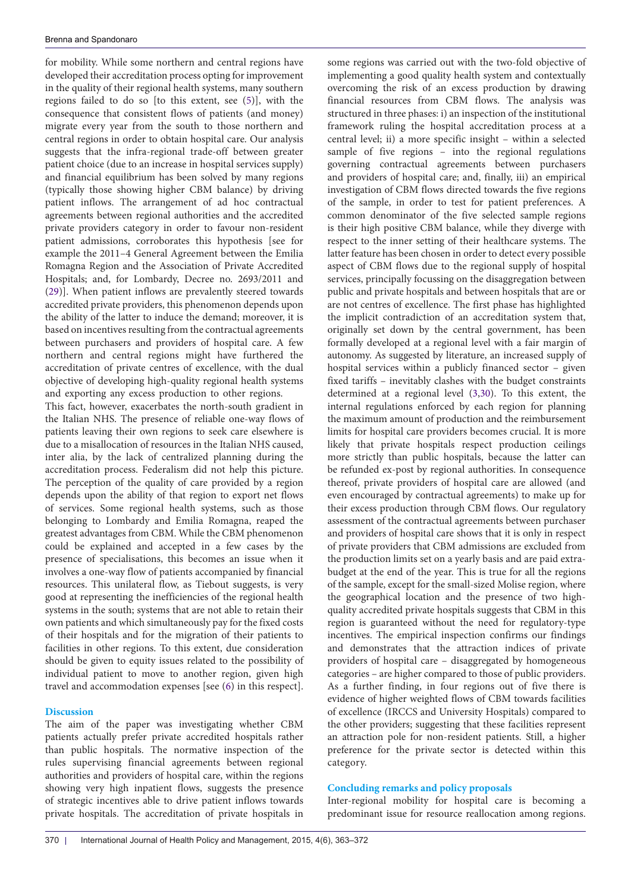for mobility. While some northern and central regions have developed their accreditation process opting for improvement in the quality of their regional health systems, many southern regions failed to do so [to this extent, see [\(5](#page-8-4))], with the consequence that consistent flows of patients (and money) migrate every year from the south to those northern and central regions in order to obtain hospital care. Our analysis suggests that the infra-regional trade-off between greater patient choice (due to an increase in hospital services supply) and financial equilibrium has been solved by many regions (typically those showing higher CBM balance) by driving patient inflows. The arrangement of ad hoc contractual agreements between regional authorities and the accredited private providers category in order to favour non-resident patient admissions, corroborates this hypothesis [see for example the 2011–4 General Agreement between the Emilia Romagna Region and the Association of Private Accredited Hospitals; and, for Lombardy, Decree no. 2693/2011 and ([29\)](#page-9-9)]. When patient inflows are prevalently steered towards accredited private providers, this phenomenon depends upon the ability of the latter to induce the demand; moreover, it is based on incentives resulting from the contractual agreements between purchasers and providers of hospital care. A few northern and central regions might have furthered the accreditation of private centres of excellence, with the dual objective of developing high-quality regional health systems and exporting any excess production to other regions.

This fact, however, exacerbates the north-south gradient in the Italian NHS. The presence of reliable one-way flows of patients leaving their own regions to seek care elsewhere is due to a misallocation of resources in the Italian NHS caused, inter alia, by the lack of centralized planning during the accreditation process. Federalism did not help this picture. The perception of the quality of care provided by a region depends upon the ability of that region to export net flows of services. Some regional health systems, such as those belonging to Lombardy and Emilia Romagna, reaped the greatest advantages from CBM. While the CBM phenomenon could be explained and accepted in a few cases by the presence of specialisations, this becomes an issue when it involves a one-way flow of patients accompanied by financial resources. This unilateral flow, as Tiebout suggests, is very good at representing the inefficiencies of the regional health systems in the south; systems that are not able to retain their own patients and which simultaneously pay for the fixed costs of their hospitals and for the migration of their patients to facilities in other regions. To this extent, due consideration should be given to equity issues related to the possibility of individual patient to move to another region, given high travel and accommodation expenses [see [\(6\)](#page-8-5) in this respect].

## **Discussion**

The aim of the paper was investigating whether CBM patients actually prefer private accredited hospitals rather than public hospitals. The normative inspection of the rules supervising financial agreements between regional authorities and providers of hospital care, within the regions showing very high inpatient flows, suggests the presence of strategic incentives able to drive patient inflows towards private hospitals. The accreditation of private hospitals in

some regions was carried out with the two-fold objective of implementing a good quality health system and contextually overcoming the risk of an excess production by drawing financial resources from CBM flows. The analysis was structured in three phases: i) an inspection of the institutional framework ruling the hospital accreditation process at a central level; ii) a more specific insight – within a selected sample of five regions – into the regional regulations governing contractual agreements between purchasers and providers of hospital care; and, finally, iii) an empirical investigation of CBM flows directed towards the five regions of the sample, in order to test for patient preferences. A common denominator of the five selected sample regions is their high positive CBM balance, while they diverge with respect to the inner setting of their healthcare systems. The latter feature has been chosen in order to detect every possible aspect of CBM flows due to the regional supply of hospital services, principally focussing on the disaggregation between public and private hospitals and between hospitals that are or are not centres of excellence. The first phase has highlighted the implicit contradiction of an accreditation system that, originally set down by the central government, has been formally developed at a regional level with a fair margin of autonomy. As suggested by literature, an increased supply of hospital services within a publicly financed sector – given fixed tariffs – inevitably clashes with the budget constraints determined at a regional level [\(3,](#page-8-19)[30\)](#page-9-10). To this extent, the internal regulations enforced by each region for planning the maximum amount of production and the reimbursement limits for hospital care providers becomes crucial. It is more likely that private hospitals respect production ceilings more strictly than public hospitals, because the latter can be refunded ex-post by regional authorities. In consequence thereof, private providers of hospital care are allowed (and even encouraged by contractual agreements) to make up for their excess production through CBM flows. Our regulatory assessment of the contractual agreements between purchaser and providers of hospital care shows that it is only in respect of private providers that CBM admissions are excluded from the production limits set on a yearly basis and are paid extrabudget at the end of the year. This is true for all the regions of the sample, except for the small-sized Molise region, where the geographical location and the presence of two highquality accredited private hospitals suggests that CBM in this region is guaranteed without the need for regulatory-type incentives. The empirical inspection confirms our findings and demonstrates that the attraction indices of private providers of hospital care – disaggregated by homogeneous categories – are higher compared to those of public providers. As a further finding, in four regions out of five there is evidence of higher weighted flows of CBM towards facilities of excellence (IRCCS and University Hospitals) compared to the other providers; suggesting that these facilities represent an attraction pole for non-resident patients. Still, a higher preference for the private sector is detected within this category.

## **Concluding remarks and policy proposals**

Inter-regional mobility for hospital care is becoming a predominant issue for resource reallocation among regions.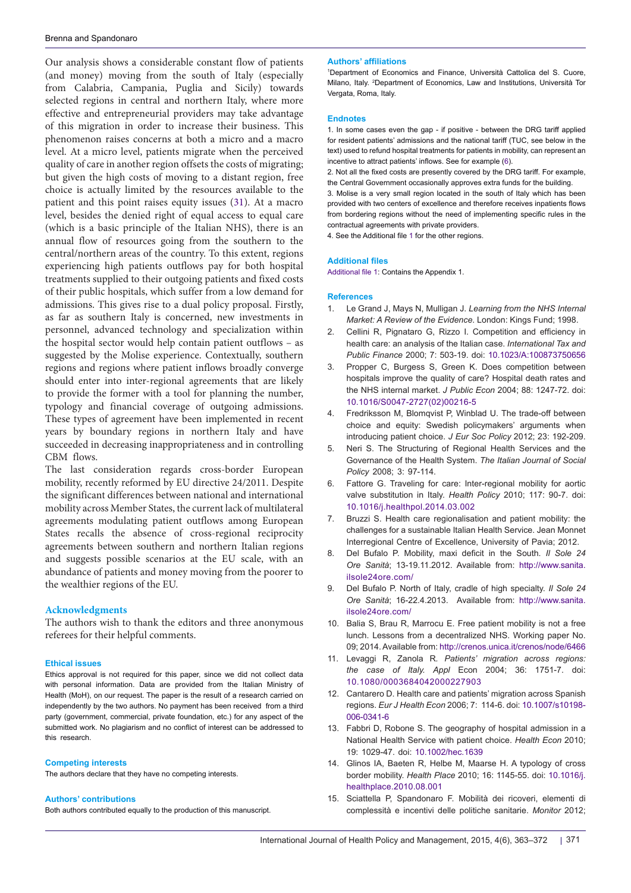Our analysis shows a considerable constant flow of patients (and money) moving from the south of Italy (especially from Calabria, Campania, Puglia and Sicily) towards selected regions in central and northern Italy, where more effective and entrepreneurial providers may take advantage of this migration in order to increase their business. This phenomenon raises concerns at both a micro and a macro level. At a micro level, patients migrate when the perceived quality of care in another region offsets the costs of migrating; but given the high costs of moving to a distant region, free choice is actually limited by the resources available to the patient and this point raises equity issues ([31](#page-9-11)). At a macro level, besides the denied right of equal access to equal care (which is a basic principle of the Italian NHS), there is an annual flow of resources going from the southern to the central/northern areas of the country. To this extent, regions experiencing high patients outflows pay for both hospital treatments supplied to their outgoing patients and fixed costs of their public hospitals, which suffer from a low demand for admissions. This gives rise to a dual policy proposal. Firstly, as far as southern Italy is concerned, new investments in personnel, advanced technology and specialization within the hospital sector would help contain patient outflows – as suggested by the Molise experience. Contextually, southern regions and regions where patient inflows broadly converge should enter into inter-regional agreements that are likely to provide the former with a tool for planning the number, typology and financial coverage of outgoing admissions. These types of agreement have been implemented in recent years by boundary regions in northern Italy and have succeeded in decreasing inappropriateness and in controlling CBM flows.

The last consideration regards cross-border European mobility, recently reformed by EU directive 24/2011. Despite the significant differences between national and international mobility across Member States, the current lack of multilateral agreements modulating patient outflows among European States recalls the absence of cross-regional reciprocity agreements between southern and northern Italian regions and suggests possible scenarios at the EU scale, with an abundance of patients and money moving from the poorer to the wealthier regions of the EU.

#### **Acknowledgments**

The authors wish to thank the editors and three anonymous referees for their helpful comments.

#### **Ethical issues**

Ethics approval is not required for this paper, since we did not collect data with personal information. Data are provided from the Italian Ministry of Health (MoH), on our request. The paper is the result of a research carried on independently by the two authors. No payment has been received from a third party (government, commercial, private foundation, etc.) for any aspect of the submitted work. No plagiarism and no conflict of interest can be addressed to this research.

#### **Competing interests**

The authors declare that they have no competing interests.

#### **Authors' contributions**

Both authors contributed equally to the production of this manuscript.

#### **Authors' affiliations**

<span id="page-8-1"></span><span id="page-8-0"></span>1 Department of Economics and Finance, Università Cattolica del S. Cuore, Milano, Italy. <sup>2</sup> Department of Economics, Law and Institutions, Università Tor Vergata, Roma, Italy.

#### **Endnotes**

<span id="page-8-10"></span>1. In some cases even the gap - if positive - between the DRG tariff applied for resident patients' admissions and the national tariff (TUC, see below in the text) used to refund hospital treatments for patients in mobility, can represent an incentive to attract patients' inflows. See for example ([6](#page-8-5)).

<span id="page-8-16"></span><span id="page-8-15"></span>2. Not all the fixed costs are presently covered by the DRG tariff. For example, the Central Government occasionally approves extra funds for the building. 3. Molise is a very small region located in the south of Italy which has been provided with two centers of excellence and therefore receives inpatients flows from bordering regions without the need of implementing specific rules in the contractual agreements with private providers.

<span id="page-8-17"></span>4. See the Additional file [1](#page-8-18) for the other regions.

#### **Additional files**

<span id="page-8-18"></span>[Additional file 1](http://www.ijhpm.com/data/ijhpm/news/Brenna-appendix-Vol4.pdf): Contains the Appendix 1.

#### **References**

- <span id="page-8-2"></span>1. Le Grand J, Mays N, Mulligan J. *Learning from the NHS Internal Market: A Review of the Evidence*. London: Kings Fund; 1998.
- 2. Cellini R, Pignataro G, Rizzo I. Competition and efficiency in health care: an analysis of the Italian case. *International Tax and Public Finance* 2000; 7: 503-19. doi: [10.1023/A:100873750656](http://dx.doi.org/10.1023/A:100873750656)
- <span id="page-8-19"></span>3. Propper C, Burgess S, Green K. Does competition between hospitals improve the quality of care? Hospital death rates and the NHS internal market. *J Public Econ* 2004; 88: 1247-72. [doi:](http://dx.doi.org/10.1016/S0047-2727(02)00216-5)  [10.1016/S0047-2727\(02\)00216-5](http://dx.doi.org/10.1016/S0047-2727(02)00216-5)
- <span id="page-8-3"></span>4. Fredriksson M, Blomqvist P, Winblad U. The trade-off between choice and equity: Swedish policymakers' arguments when introducing patient choice. *J Eur Soc Policy* 2012; 23: 192-209.
- <span id="page-8-4"></span>5. Neri S. The Structuring of Regional Health Services and the Governance of the Health System. *The Italian Journal of Social Policy* 2008; 3: 97-114.
- <span id="page-8-5"></span>6. Fattore G. Traveling for care: Inter-regional mobility for aortic valve substitution in Italy. *Health Policy* 2010; 117: 90-7. doi: [10.1016/j.healthpol.2014.03.002](http://dx.doi.org/10.1016/j.healthpol.2014.03.002)
- 7. Bruzzi S. Health care regionalisation and patient mobility: the challenges for a sustainable Italian Health Service. Jean Monnet Interregional Centre of Excellence, University of Pavia; 2012.
- <span id="page-8-14"></span>8. Del Bufalo P. Mobility, maxi deficit in the South. *Il Sole 24 Ore Sanità*; 13-19.11.2012. Available from: [http://www.sanita.](http://www.sanita.ilsole24ore.com/ ) [ilsole24ore.com/](http://www.sanita.ilsole24ore.com/ )
- <span id="page-8-11"></span>9. Del Bufalo P. North of Italy, cradle of high specialty. *Il Sole 24 Ore Sanità*; 16-22.4.2013. Available from: [http://www.sanita.](http://www.sanita.ilsole24ore.com/ ) [ilsole24ore.com/](http://www.sanita.ilsole24ore.com/ )
- <span id="page-8-6"></span>10. Balia S, Brau R, Marrocu E. Free patient mobility is not a free lunch. Lessons from a decentralized NHS. Working paper No. 09; 2014. Available from:<http://crenos.unica.it/crenos/node/6466>
- <span id="page-8-7"></span>11. Levaggi R, Zanola R*. Patients' migration across regions: the case of Italy. Appl* Econ 2004; 36: 1751-7. doi: [10.1080/0003684042000227903](http://dx.doi.org/10.1080/0003684042000227903)
- <span id="page-8-13"></span>12. Cantarero D. Health care and patients' migration across Spanish regions. *Eur J Health Econ* 2006; 7: 114-6. doi: [10.1007/s10198-](http://dx.doi.org/10.1007/s10198-006-0341-6) [006-0341-6](http://dx.doi.org/10.1007/s10198-006-0341-6)
- <span id="page-8-8"></span>13. Fabbri D, Robone S. The geography of hospital admission in a National Health Service with patient choice. *Health Econ* 2010; 19: 1029-47. doi: [10.1002/hec.1639](http://dx.doi.org/10.1002/hec.1639)
- <span id="page-8-9"></span>14. Glinos IA, Baeten R, Helbe M, Maarse H. A typology of cross border mobility. *Health Place* 2010; 16: 1145-55. doi: [10.1016/j.](http://dx.doi.org/10.1016/j.healthplace.2010.08.001) [healthplace.2010.08.001](http://dx.doi.org/10.1016/j.healthplace.2010.08.001)
- <span id="page-8-12"></span>15. Sciattella P, Spandonaro F. Mobilità dei ricoveri, elementi di complessità e incentivi delle politiche sanitarie. *Monitor* 2012;